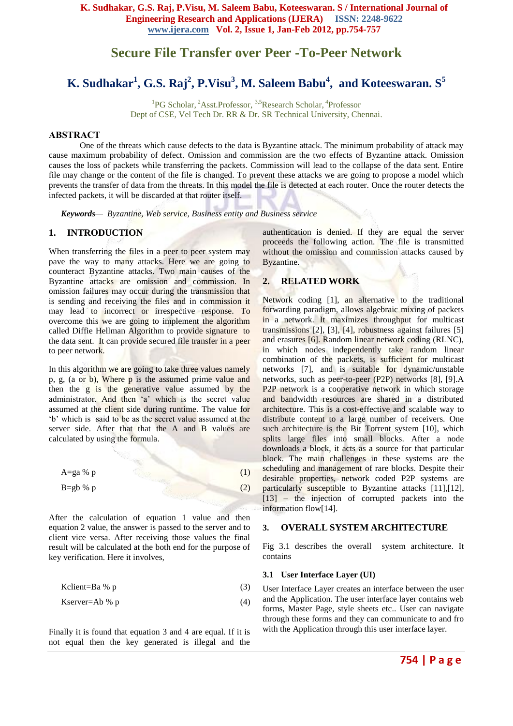**K. Sudhakar, G.S. Raj, P.Visu, M. Saleem Babu, Koteeswaran. S / International Journal of Engineering Research and Applications (IJERA) ISSN: 2248-9622 www.ijera.com Vol. 2, Issue 1, Jan-Feb 2012, pp.754-757**

# **Secure File Transfer over Peer -To-Peer Network**

# **K. Sudhakar<sup>1</sup> , G.S. Raj<sup>2</sup> , P.Visu<sup>3</sup> , M. Saleem Babu<sup>4</sup> , and Koteeswaran. S<sup>5</sup>**

<sup>1</sup>PG Scholar, <sup>2</sup>Asst.Professor, <sup>3,5</sup>Research Scholar, <sup>4</sup>Professor Dept of CSE, Vel Tech Dr. RR & Dr. SR Technical University, Chennai.

#### **ABSTRACT**

One of the threats which cause defects to the data is Byzantine attack. The minimum probability of attack may cause maximum probability of defect. Omission and commission are the two effects of Byzantine attack. Omission causes the loss of packets while transferring the packets. Commission will lead to the collapse of the data sent. Entire file may change or the content of the file is changed. To prevent these attacks we are going to propose a model which prevents the transfer of data from the threats. In this model the file is detected at each router. Once the router detects the infected packets, it will be discarded at that router itself.

*Keywords— Byzantine, Web service, Business entity and Business service*

# **1. INTRODUCTION**

When transferring the files in a peer to peer system may pave the way to many attacks. Here we are going to counteract Byzantine attacks. Two main causes of the Byzantine attacks are omission and commission. In omission failures may occur during the transmission that is sending and receiving the files and in commission it may lead to incorrect or irrespective response. To overcome this we are going to implement the algorithm called Diffie Hellman Algorithm to provide signature to the data sent. It can provide secured file transfer in a peer to peer network.

In this algorithm we are going to take three values namely p, g, (a or b), Where p is the assumed prime value and then the g is the generative value assumed by the administrator. And then 'a' which is the secret value assumed at the client side during runtime. The value for "b" which is said to be as the secret value assumed at the server side. After that that the A and B values are calculated by using the formula.

$$
A = ga \, \%\, p \tag{1}
$$

$$
B = gb \mathcal{D} \mathcal{D} \tag{2}
$$

After the calculation of equation 1 value and then equation 2 value, the answer is passed to the server and to client vice versa. After receiving those values the final result will be calculated at the both end for the purpose of key verification. Here it involves,

Kclient=Ba %  $p$  (3)

$$
Kserver = Ab %p \tag{4}
$$

Finally it is found that equation 3 and 4 are equal. If it is not equal then the key generated is illegal and the

authentication is denied. If they are equal the server proceeds the following action. The file is transmitted without the omission and commission attacks caused by Byzantine.

## **2. RELATED WORK**

Network coding [1], an alternative to the traditional forwarding paradigm, allows algebraic mixing of packets in a network. It maximizes throughput for multicast transmissions [2], [3], [4], robustness against failures [5] and erasures [6]. Random linear network coding (RLNC), in which nodes independently take random linear combination of the packets, is sufficient for multicast networks [7], and is suitable for dynamic/unstable networks, such as peer-to-peer (P2P) networks [8], [9].A P2P network is a cooperative network in which storage and bandwidth resources are shared in a distributed architecture. This is a cost-effective and scalable way to distribute content to a large number of receivers. One such architecture is the Bit Torrent system [10], which splits large files into small blocks. After a node downloads a block, it acts as a source for that particular block. The main challenges in these systems are the scheduling and management of rare blocks. Despite their desirable properties, network coded P2P systems are particularly susceptible to Byzantine attacks [11],[12], [13] – the injection of corrupted packets into the information flow[14].

## **3. OVERALL SYSTEM ARCHITECTURE**

Fig 3.1 describes the overall system architecture. It contains

#### **3.1 User Interface Layer (UI)**

User Interface Layer creates an interface between the user and the Application. The user interface layer contains web forms, Master Page, style sheets etc.. User can navigate through these forms and they can communicate to and fro with the Application through this user interface layer.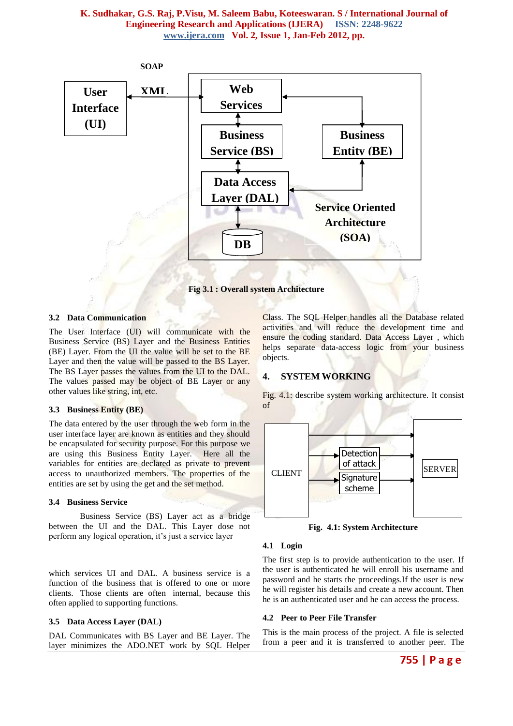## **K. Sudhakar, G.S. Raj, P.Visu, M. Saleem Babu, Koteeswaran. S / International Journal of Engineering Research and Applications (IJERA) ISSN: 2248-9622 www.ijera.com Vol. 2, Issue 1, Jan-Feb 2012, pp.**



**Fig 3.1 : Overall system Architecture**

## **3.2 Data Communication**

The User Interface (UI) will communicate with the Business Service (BS) Layer and the Business Entities (BE) Layer. From the UI the value will be set to the BE Layer and then the value will be passed to the BS Layer. The BS Layer passes the values from the UI to the DAL. The values passed may be object of BE Layer or any other values like string, int, etc.

#### **3.3 Business Entity (BE)**

The data entered by the user through the web form in the user interface layer are known as entities and they should be encapsulated for security purpose. For this purpose we are using this Business Entity Layer. Here all the variables for entities are declared as private to prevent access to unauthorized members. The properties of the entities are set by using the get and the set method.

#### **3.4 Business Service**

Business Service (BS) Layer act as a bridge between the UI and the DAL. This Layer dose not perform any logical operation, it's just a service layer

which services UI and DAL. A business service is a function of the business that is offered to one or more clients. Those clients are often internal, because this often applied to supporting functions.

#### **3.5 Data Access Layer (DAL)**

DAL Communicates with BS Layer and BE Layer. The layer minimizes the ADO.NET work by SQL Helper Class. The SQL Helper handles all the Database related activities and will reduce the development time and ensure the coding standard. Data Access Layer , which helps separate data-access logic from your business objects.

Fig. 4.1: describe system working architecture. It consist

# **4. SYSTEM WORKING**



**Fig. 4.1: System Architecture**

#### **4.1 Login**

The first step is to provide authentication to the user. If the user is authenticated he will enroll his username and password and he starts the proceedings.If the user is new he will register his details and create a new account. Then he is an authenticated user and he can access the process.

#### **4.2 Peer to Peer File Transfer**

This is the main process of the project. A file is selected from a peer and it is transferred to another peer. The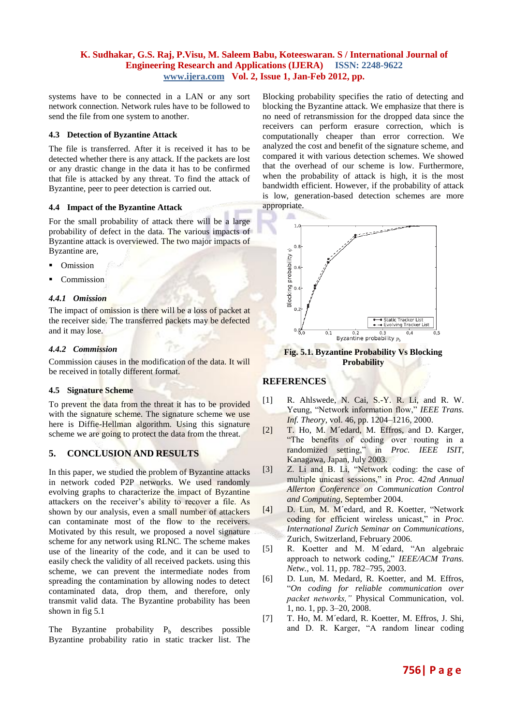# **K. Sudhakar, G.S. Raj, P.Visu, M. Saleem Babu, Koteeswaran. S / International Journal of Engineering Research and Applications (IJERA) ISSN: 2248-9622 www.ijera.com Vol. 2, Issue 1, Jan-Feb 2012, pp.**

systems have to be connected in a LAN or any sort network connection. Network rules have to be followed to send the file from one system to another.

## **4.3 Detection of Byzantine Attack**

The file is transferred. After it is received it has to be detected whether there is any attack. If the packets are lost or any drastic change in the data it has to be confirmed that file is attacked by any threat. To find the attack of Byzantine, peer to peer detection is carried out.

#### **4.4 Impact of the Byzantine Attack**

For the small probability of attack there will be a large probability of defect in the data. The various impacts of Byzantine attack is overviewed. The two major impacts of Byzantine are,

- Omission
- Commission

### *4.4.1 Omission*

The impact of omission is there will be a loss of packet at the receiver side. The transferred packets may be defected and it may lose.

#### *4.4.2 Commission*

Commission causes in the modification of the data. It will be received in totally different format.

## **4.5 Signature Scheme**

To prevent the data from the threat it has to be provided with the signature scheme. The signature scheme we use here is Diffie-Hellman algorithm. Using this signature scheme we are going to protect the data from the threat.

## **5. CONCLUSION AND RESULTS**

In this paper, we studied the problem of Byzantine attacks in network coded P2P networks. We used randomly evolving graphs to characterize the impact of Byzantine attackers on the receiver's ability to recover a file. As shown by our analysis, even a small number of attackers can contaminate most of the flow to the receivers. Motivated by this result, we proposed a novel signature scheme for any network using RLNC. The scheme makes use of the linearity of the code, and it can be used to easily check the validity of all received packets. using this scheme, we can prevent the intermediate nodes from spreading the contamination by allowing nodes to detect contaminated data, drop them, and therefore, only transmit valid data. The Byzantine probability has been shown in fig 5.1

The Byzantine probability  $P_b$  describes possible Byzantine probability ratio in static tracker list. The

Blocking probability specifies the ratio of detecting and blocking the Byzantine attack. We emphasize that there is no need of retransmission for the dropped data since the receivers can perform erasure correction, which is computationally cheaper than error correction. We analyzed the cost and benefit of the signature scheme, and compared it with various detection schemes. We showed that the overhead of our scheme is low. Furthermore, when the probability of attack is high, it is the most bandwidth efficient. However, if the probability of attack is low, generation-based detection schemes are more appropriate.



**Fig. 5.1. Byzantine Probability Vs Blocking Probability**

## **REFERENCES**

- [1] R. Ahlswede, N. Cai, S.-Y. R. Li, and R. W. Yeung, "Network information flow," *IEEE Trans. Inf. Theory,* vol. 46, pp. 1204–1216, 2000.
- [2] T. Ho, M. M´edard, M. Effros, and D. Karger, "The benefits of coding over routing in a randomized setting," in *Proc. IEEE ISIT*, Kanagawa, Japan, July 2003.
- [3] Z. Li and B. Li, "Network coding: the case of multiple unicast sessions," in *Proc. 42nd Annual Allerton Conference on Communication Control and Computing*, September 2004.
- [4] D. Lun, M. M´edard, and R. Koetter, "Network coding for efficient wireless unicast," in *Proc. International Zurich Seminar on Communications*, Zurich, Switzerland, February 2006.
- [5] R. Koetter and M. M´edard, "An algebraic approach to network coding," *IEEE/ACM Trans. Netw.,* vol. 11, pp. 782–795, 2003.
- [6] D. Lun, M. Medard, R. Koetter, and M. Effros, "*On coding for reliable communication over packet networks,"* Physical Communication, vol.  $1, \text{no. } 1, \text{ pp. } 3\text{-}20, 2008.$
- [7] T. Ho, M. M´edard, R. Koetter, M. Effros, J. Shi, and D. R. Karger, "A random linear coding